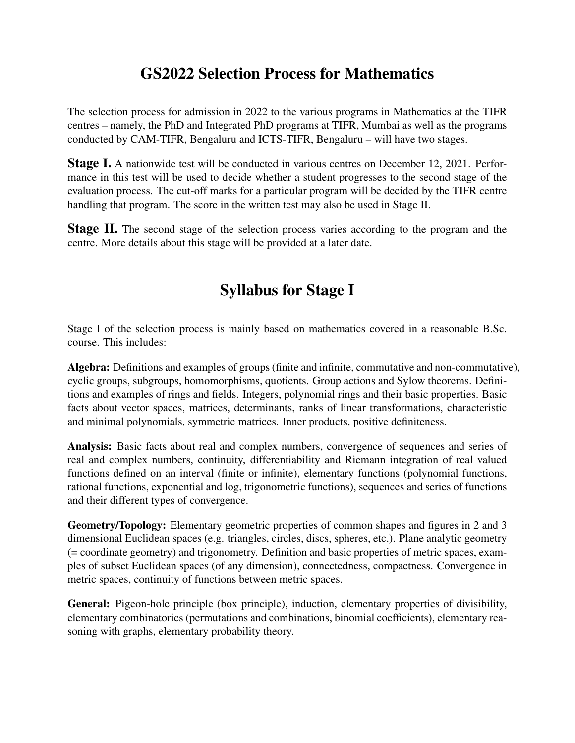## GS2022 Selection Process for Mathematics

The selection process for admission in 2022 to the various programs in Mathematics at the TIFR centres – namely, the PhD and Integrated PhD programs at TIFR, Mumbai as well as the programs conducted by CAM-TIFR, Bengaluru and ICTS-TIFR, Bengaluru – will have two stages.

**Stage I.** A nationwide test will be conducted in various centres on December 12, 2021. Performance in this test will be used to decide whether a student progresses to the second stage of the evaluation process. The cut-off marks for a particular program will be decided by the TIFR centre handling that program. The score in the written test may also be used in Stage II.

**Stage II.** The second stage of the selection process varies according to the program and the centre. More details about this stage will be provided at a later date.

# Syllabus for Stage I

Stage I of the selection process is mainly based on mathematics covered in a reasonable B.Sc. course. This includes:

Algebra: Definitions and examples of groups (finite and infinite, commutative and non-commutative), cyclic groups, subgroups, homomorphisms, quotients. Group actions and Sylow theorems. Definitions and examples of rings and fields. Integers, polynomial rings and their basic properties. Basic facts about vector spaces, matrices, determinants, ranks of linear transformations, characteristic and minimal polynomials, symmetric matrices. Inner products, positive definiteness.

Analysis: Basic facts about real and complex numbers, convergence of sequences and series of real and complex numbers, continuity, differentiability and Riemann integration of real valued functions defined on an interval (finite or infinite), elementary functions (polynomial functions, rational functions, exponential and log, trigonometric functions), sequences and series of functions and their different types of convergence.

Geometry/Topology: Elementary geometric properties of common shapes and figures in 2 and 3 dimensional Euclidean spaces (e.g. triangles, circles, discs, spheres, etc.). Plane analytic geometry (= coordinate geometry) and trigonometry. Definition and basic properties of metric spaces, examples of subset Euclidean spaces (of any dimension), connectedness, compactness. Convergence in metric spaces, continuity of functions between metric spaces.

General: Pigeon-hole principle (box principle), induction, elementary properties of divisibility, elementary combinatorics (permutations and combinations, binomial coefficients), elementary reasoning with graphs, elementary probability theory.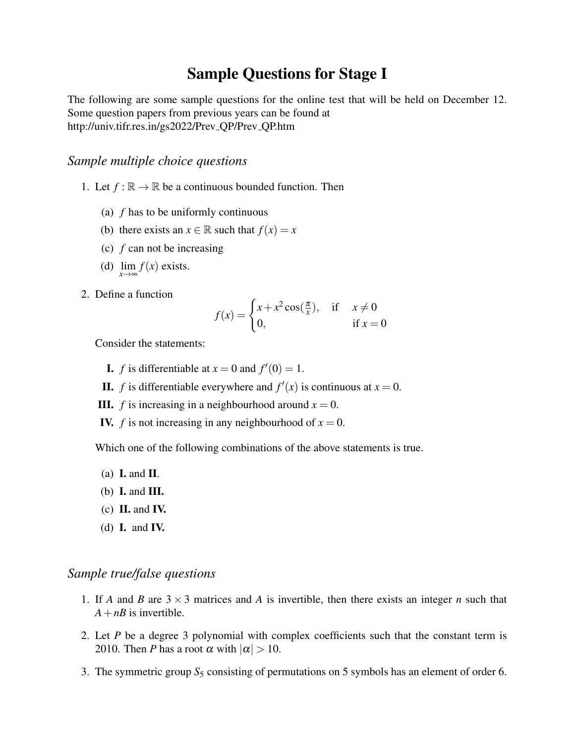### Sample Questions for Stage I

The following are some sample questions for the online test that will be held on December 12. Some question papers from previous years can be found at http://univ.tifr.res.in/gs2022/Prev QP/Prev QP.htm

### *Sample multiple choice questions*

- 1. Let  $f : \mathbb{R} \to \mathbb{R}$  be a continuous bounded function. Then
	- (a) *f* has to be uniformly continuous
	- (b) there exists an  $x \in \mathbb{R}$  such that  $f(x) = x$
	- (c) *f* can not be increasing
	- (d)  $\lim_{x \to \infty} f(x)$  exists.
- 2. Define a function

$$
f(x) = \begin{cases} x + x^2 \cos(\frac{\pi}{x}), & \text{if } x \neq 0\\ 0, & \text{if } x = 0 \end{cases}
$$

Consider the statements:

- **I.** *f* is differentiable at  $x = 0$  and  $f'(0) = 1$ .
- **II.** *f* is differentiable everywhere and  $f'(x)$  is continuous at  $x = 0$ .
- **III.** *f* is increasing in a neighbourhood around  $x = 0$ .
- **IV.** *f* is not increasing in any neighbourhood of  $x = 0$ .

Which one of the following combinations of the above statements is true.

- (a) **I.** and **II**.
- (b)  $\bf{I}$ . and  $\bf{III}$ .
- $(c)$  **II.** and **IV.**
- (d)  $\bf{I.}$  and  $\bf{IV.}$

#### *Sample true/false questions*

- 1. If *A* and *B* are  $3 \times 3$  matrices and *A* is invertible, then there exists an integer *n* such that  $A + nB$  is invertible.
- 2. Let *P* be a degree 3 polynomial with complex coefficients such that the constant term is 2010. Then *P* has a root  $\alpha$  with  $|\alpha| > 10$ .
- 3. The symmetric group  $S_5$  consisting of permutations on 5 symbols has an element of order 6.